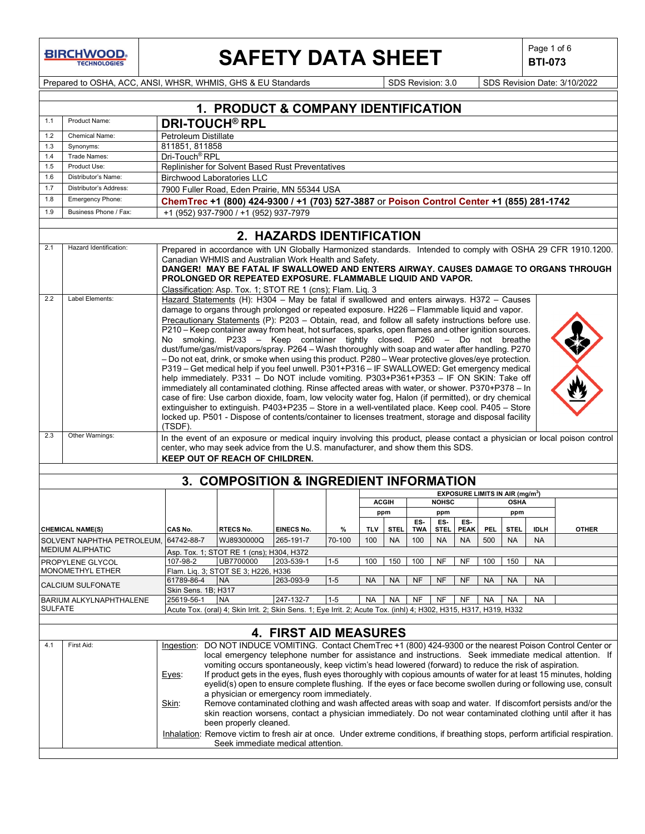**BIRCHWOOD** 

 $\mathbf{I}$ 

# **SAFETY DATA SHEET**  $\left|\begin{array}{cc} \text{Page 1 of 6} \\ \text{BIT-073} \end{array}\right|$

**BTI-073**

Prepared to OSHA, ACC, ANSI, WHSR, WHMIS, GHS & EU Standards Superinted Superinted Superinted Superinted States 3/10/2022

|                | 1. PRODUCT & COMPANY IDENTIFICATION                                                                                                                                                                             |                            |                                                                                                                                                                                                             |                              |         |           |               |            |              |             |            |                                             |             |                                                                                                                                                                                                                             |
|----------------|-----------------------------------------------------------------------------------------------------------------------------------------------------------------------------------------------------------------|----------------------------|-------------------------------------------------------------------------------------------------------------------------------------------------------------------------------------------------------------|------------------------------|---------|-----------|---------------|------------|--------------|-------------|------------|---------------------------------------------|-------------|-----------------------------------------------------------------------------------------------------------------------------------------------------------------------------------------------------------------------------|
| 1.1            | Product Name:                                                                                                                                                                                                   |                            | <b>DRI-TOUCH<sup>®</sup> RPL</b>                                                                                                                                                                            |                              |         |           |               |            |              |             |            |                                             |             |                                                                                                                                                                                                                             |
| 1.2            | Chemical Name:                                                                                                                                                                                                  |                            | Petroleum Distillate                                                                                                                                                                                        |                              |         |           |               |            |              |             |            |                                             |             |                                                                                                                                                                                                                             |
| 1.3            | Synonyms:                                                                                                                                                                                                       | 811851, 811858             |                                                                                                                                                                                                             |                              |         |           |               |            |              |             |            |                                             |             |                                                                                                                                                                                                                             |
| 1.4            | Trade Names:                                                                                                                                                                                                    | Dri-Touch <sup>®</sup> RPL |                                                                                                                                                                                                             |                              |         |           |               |            |              |             |            |                                             |             |                                                                                                                                                                                                                             |
| 1.5            | Product Use:                                                                                                                                                                                                    |                            | Replinisher for Solvent Based Rust Preventatives                                                                                                                                                            |                              |         |           |               |            |              |             |            |                                             |             |                                                                                                                                                                                                                             |
| 1.6            | Distributor's Name:                                                                                                                                                                                             |                            | <b>Birchwood Laboratories LLC</b>                                                                                                                                                                           |                              |         |           |               |            |              |             |            |                                             |             |                                                                                                                                                                                                                             |
| 1.7            | Distributor's Address:                                                                                                                                                                                          |                            | 7900 Fuller Road, Eden Prairie, MN 55344 USA                                                                                                                                                                |                              |         |           |               |            |              |             |            |                                             |             |                                                                                                                                                                                                                             |
| 1.8<br>1.9     | Emergency Phone:<br>Business Phone / Fax:                                                                                                                                                                       |                            | ChemTrec +1 (800) 424-9300 / +1 (703) 527-3887 or Poison Control Center +1 (855) 281-1742                                                                                                                   |                              |         |           |               |            |              |             |            |                                             |             |                                                                                                                                                                                                                             |
|                |                                                                                                                                                                                                                 |                            | +1 (952) 937-7900 / +1 (952) 937-7979                                                                                                                                                                       |                              |         |           |               |            |              |             |            |                                             |             |                                                                                                                                                                                                                             |
|                |                                                                                                                                                                                                                 |                            |                                                                                                                                                                                                             | 2. HAZARDS IDENTIFICATION    |         |           |               |            |              |             |            |                                             |             |                                                                                                                                                                                                                             |
| 2.1            | Hazard Identification:                                                                                                                                                                                          |                            |                                                                                                                                                                                                             |                              |         |           |               |            |              |             |            |                                             |             | Prepared in accordance with UN Globally Harmonized standards. Intended to comply with OSHA 29 CFR 1910.1200.                                                                                                                |
|                |                                                                                                                                                                                                                 |                            | Canadian WHMIS and Australian Work Health and Safety.                                                                                                                                                       |                              |         |           |               |            |              |             |            |                                             |             |                                                                                                                                                                                                                             |
|                |                                                                                                                                                                                                                 |                            |                                                                                                                                                                                                             |                              |         |           |               |            |              |             |            |                                             |             | DANGER! MAY BE FATAL IF SWALLOWED AND ENTERS AIRWAY. CAUSES DAMAGE TO ORGANS THROUGH                                                                                                                                        |
|                |                                                                                                                                                                                                                 |                            | PROLONGED OR REPEATED EXPOSURE. FLAMMABLE LIQUID AND VAPOR.                                                                                                                                                 |                              |         |           |               |            |              |             |            |                                             |             |                                                                                                                                                                                                                             |
|                |                                                                                                                                                                                                                 |                            | Classification: Asp. Tox. 1; STOT RE 1 (cns); Flam. Liq. 3                                                                                                                                                  |                              |         |           |               |            |              |             |            |                                             |             |                                                                                                                                                                                                                             |
| 2.2            | Label Elements:                                                                                                                                                                                                 |                            | Hazard Statements (H): H304 - May be fatal if swallowed and enters airways. H372 - Causes                                                                                                                   |                              |         |           |               |            |              |             |            |                                             |             |                                                                                                                                                                                                                             |
|                |                                                                                                                                                                                                                 |                            | damage to organs through prolonged or repeated exposure. H226 - Flammable liquid and vapor.                                                                                                                 |                              |         |           |               |            |              |             |            |                                             |             |                                                                                                                                                                                                                             |
|                |                                                                                                                                                                                                                 |                            | Precautionary Statements (P): $P203 - Obtain$ , read, and follow all safety instructions before use.<br>P210 – Keep container away from heat, hot surfaces, sparks, open flames and other ignition sources. |                              |         |           |               |            |              |             |            |                                             |             |                                                                                                                                                                                                                             |
|                |                                                                                                                                                                                                                 |                            | No smoking. P233 - Keep container tightly closed. P260 - Do not breathe                                                                                                                                     |                              |         |           |               |            |              |             |            |                                             |             |                                                                                                                                                                                                                             |
|                |                                                                                                                                                                                                                 |                            | dust/fume/gas/mist/vapors/spray. P264 - Wash thoroughly with soap and water after handling. P270                                                                                                            |                              |         |           |               |            |              |             |            |                                             |             |                                                                                                                                                                                                                             |
|                |                                                                                                                                                                                                                 |                            | - Do not eat, drink, or smoke when using this product. P280 - Wear protective gloves/eye protection.                                                                                                        |                              |         |           |               |            |              |             |            |                                             |             |                                                                                                                                                                                                                             |
|                |                                                                                                                                                                                                                 |                            | P319 - Get medical help if you feel unwell. P301+P316 - IF SWALLOWED: Get emergency medical                                                                                                                 |                              |         |           |               |            |              |             |            |                                             |             |                                                                                                                                                                                                                             |
|                |                                                                                                                                                                                                                 |                            | help immediately. P331 - Do NOT include vomiting. P303+P361+P353 - IF ON SKIN: Take off                                                                                                                     |                              |         |           |               |            |              |             |            |                                             |             |                                                                                                                                                                                                                             |
|                |                                                                                                                                                                                                                 |                            | immediately all contaminated clothing. Rinse affected areas with water, or shower. P370+P378 - In                                                                                                           |                              |         |           |               |            |              |             |            |                                             |             |                                                                                                                                                                                                                             |
|                |                                                                                                                                                                                                                 |                            | case of fire: Use carbon dioxide, foam, low velocity water fog, Halon (if permitted), or dry chemical                                                                                                       |                              |         |           |               |            |              |             |            |                                             |             |                                                                                                                                                                                                                             |
|                |                                                                                                                                                                                                                 |                            | extinguisher to extinguish. P403+P235 - Store in a well-ventilated place. Keep cool. P405 - Store                                                                                                           |                              |         |           |               |            |              |             |            |                                             |             |                                                                                                                                                                                                                             |
|                |                                                                                                                                                                                                                 | (TSDF).                    | locked up. P501 - Dispose of contents/container to licenses treatment, storage and disposal facility                                                                                                        |                              |         |           |               |            |              |             |            |                                             |             |                                                                                                                                                                                                                             |
| 2.3            | Other Warnings:                                                                                                                                                                                                 |                            |                                                                                                                                                                                                             |                              |         |           |               |            |              |             |            |                                             |             | In the event of an exposure or medical inquiry involving this product, please contact a physician or local poison control                                                                                                   |
|                |                                                                                                                                                                                                                 |                            | center, who may seek advice from the U.S. manufacturer, and show them this SDS.                                                                                                                             |                              |         |           |               |            |              |             |            |                                             |             |                                                                                                                                                                                                                             |
|                |                                                                                                                                                                                                                 |                            | KEEP OUT OF REACH OF CHILDREN.                                                                                                                                                                              |                              |         |           |               |            |              |             |            |                                             |             |                                                                                                                                                                                                                             |
|                |                                                                                                                                                                                                                 |                            |                                                                                                                                                                                                             |                              |         |           |               |            |              |             |            |                                             |             |                                                                                                                                                                                                                             |
|                |                                                                                                                                                                                                                 |                            | 3. COMPOSITION & INGREDIENT INFORMATION                                                                                                                                                                     |                              |         |           |               |            |              |             |            |                                             |             |                                                                                                                                                                                                                             |
|                |                                                                                                                                                                                                                 |                            |                                                                                                                                                                                                             |                              |         |           |               |            |              |             |            | EXPOSURE LIMITS IN AIR (mg/m <sup>3</sup> ) |             |                                                                                                                                                                                                                             |
|                |                                                                                                                                                                                                                 |                            |                                                                                                                                                                                                             |                              |         |           | <b>ACGIII</b> |            | <b>NOHSC</b> |             |            | <b>OSHA</b>                                 |             |                                                                                                                                                                                                                             |
|                |                                                                                                                                                                                                                 |                            |                                                                                                                                                                                                             |                              |         |           | ppm           |            | ppm          |             |            | ppm                                         |             |                                                                                                                                                                                                                             |
|                |                                                                                                                                                                                                                 |                            |                                                                                                                                                                                                             |                              |         |           |               | ES-        | ES-          | ES-         |            |                                             |             |                                                                                                                                                                                                                             |
|                | <b>CHEMICAL NAME(S)</b>                                                                                                                                                                                         | CAS No.                    | <b>RTECS No.</b>                                                                                                                                                                                            | <b>EINECS No.</b>            | $\%$    | TLV       | STEL.         | <b>TWA</b> | <b>STEL</b>  | <b>PEAK</b> | <b>PEL</b> | <b>STEL</b>                                 | <b>IDLH</b> | <b>OTHER</b>                                                                                                                                                                                                                |
|                | SOLVENT NAPHTHA PETROLEUM, 64742-88-7<br><b>MEDIUM ALIPHATIC</b>                                                                                                                                                |                            | WJ8930000Q                                                                                                                                                                                                  | 265-191-7                    | 70-100  | 100       | <b>NA</b>     | 100        | <b>NA</b>    | <b>NA</b>   | 500        | <b>NA</b>                                   | <b>NA</b>   |                                                                                                                                                                                                                             |
|                |                                                                                                                                                                                                                 |                            | Asp. Tox. 1; STOT RE 1 (cns); H304, H372                                                                                                                                                                    |                              | $1 - 5$ | 100       | 150           | 100        | <b>NF</b>    | <b>NF</b>   |            |                                             |             |                                                                                                                                                                                                                             |
|                | PROPYLENE GLYCOL<br>MONOMETHYL ETHER                                                                                                                                                                            | 107-98-2                   | UB7700000<br>Flam. Liq. 3; STOT SE 3; H226, H336                                                                                                                                                            | 203-539-1                    |         |           |               |            |              |             | 100        | 150                                         | NA          |                                                                                                                                                                                                                             |
|                |                                                                                                                                                                                                                 | 61789-86-4   NA            |                                                                                                                                                                                                             | 263-093-9                    | $1 - 5$ | <b>NA</b> | <b>NA</b>     | <b>NF</b>  | <b>NF</b>    | <b>NF</b>   | <b>NA</b>  | <b>NA</b>                                   | <b>NA</b>   |                                                                                                                                                                                                                             |
|                | CALCIUM SULFONATE                                                                                                                                                                                               | Skin Sens. 1B; H317        |                                                                                                                                                                                                             |                              |         |           |               |            |              |             |            |                                             |             |                                                                                                                                                                                                                             |
|                | BARIUM ALKYLNAPHTHALENE                                                                                                                                                                                         | 25619-56-1                 | <b>NA</b>                                                                                                                                                                                                   | 247-132-7                    | $1 - 5$ | <b>NA</b> | <b>NA</b>     | NF         | <b>NF</b>    | NF          | NA         | NA                                          | <b>NA</b>   |                                                                                                                                                                                                                             |
| <b>SULFATE</b> |                                                                                                                                                                                                                 |                            | Acute Tox. (oral) 4; Skin Irrit. 2; Skin Sens. 1; Eye Irrit. 2; Acute Tox. (inhl) 4; H302, H315, H317, H319, H332                                                                                           |                              |         |           |               |            |              |             |            |                                             |             |                                                                                                                                                                                                                             |
|                |                                                                                                                                                                                                                 |                            |                                                                                                                                                                                                             |                              |         |           |               |            |              |             |            |                                             |             |                                                                                                                                                                                                                             |
|                |                                                                                                                                                                                                                 |                            |                                                                                                                                                                                                             | <b>4. FIRST AID MEASURES</b> |         |           |               |            |              |             |            |                                             |             |                                                                                                                                                                                                                             |
| 4.1            | First Aid:                                                                                                                                                                                                      | Ingestion:                 |                                                                                                                                                                                                             |                              |         |           |               |            |              |             |            |                                             |             | DO NOT INDUCE VOMITING. Contact ChemTrec +1 (800) 424-9300 or the nearest Poison Control Center or                                                                                                                          |
|                |                                                                                                                                                                                                                 |                            |                                                                                                                                                                                                             |                              |         |           |               |            |              |             |            |                                             |             |                                                                                                                                                                                                                             |
|                | local emergency telephone number for assistance and instructions. Seek immediate medical attention. If<br>vomiting occurs spontaneously, keep victim's head lowered (forward) to reduce the risk of aspiration. |                            |                                                                                                                                                                                                             |                              |         |           |               |            |              |             |            |                                             |             |                                                                                                                                                                                                                             |
|                |                                                                                                                                                                                                                 | Eyes:                      |                                                                                                                                                                                                             |                              |         |           |               |            |              |             |            |                                             |             | If product gets in the eyes, flush eyes thoroughly with copious amounts of water for at least 15 minutes, holding                                                                                                           |
|                |                                                                                                                                                                                                                 |                            |                                                                                                                                                                                                             |                              |         |           |               |            |              |             |            |                                             |             | eyelid(s) open to ensure complete flushing. If the eyes or face become swollen during or following use, consult                                                                                                             |
|                |                                                                                                                                                                                                                 |                            | a physician or emergency room immediately.                                                                                                                                                                  |                              |         |           |               |            |              |             |            |                                             |             |                                                                                                                                                                                                                             |
|                |                                                                                                                                                                                                                 | Skin:                      |                                                                                                                                                                                                             |                              |         |           |               |            |              |             |            |                                             |             | Remove contaminated clothing and wash affected areas with soap and water. If discomfort persists and/or the<br>skin reaction worsens, contact a physician immediately. Do not wear contaminated clothing until after it has |
|                |                                                                                                                                                                                                                 |                            | been properly cleaned.                                                                                                                                                                                      |                              |         |           |               |            |              |             |            |                                             |             |                                                                                                                                                                                                                             |
|                |                                                                                                                                                                                                                 |                            |                                                                                                                                                                                                             |                              |         |           |               |            |              |             |            |                                             |             |                                                                                                                                                                                                                             |
|                | Inhalation: Remove victim to fresh air at once. Under extreme conditions, if breathing stops, perform artificial respiration.<br>Seek immediate medical attention.                                              |                            |                                                                                                                                                                                                             |                              |         |           |               |            |              |             |            |                                             |             |                                                                                                                                                                                                                             |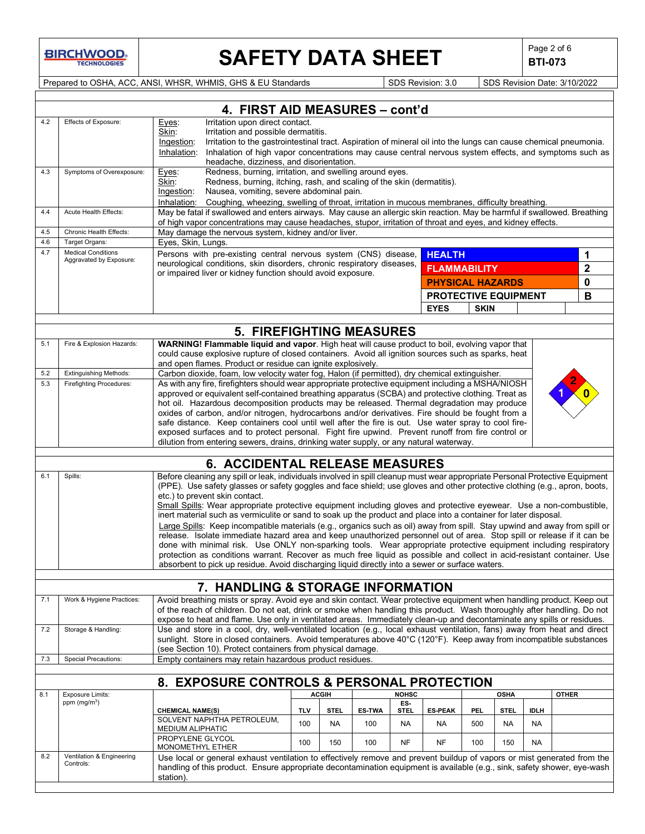**BIRCHWOOD** 

 $\overline{\phantom{a}}$ 

# **SAFETY DATA SHEET**  $\left|\begin{array}{c} \text{Page 2 of 6} \\ \text{BTI-073} \end{array}\right|$

**BTI-073**

Prepared to OSHA, ACC, ANSI, WHSR, WHMIS, GHS & EU Standards Superiority SDS Revision: 3.0 SDS Revision Date: 3/10/2022

|     |                                                                                                                                                                                                                                                                                                                                | 4. FIRST AID MEASURES - cont'd                                                                                                                                                                                                                                                                                                                                                                                                                                                                                                                                                                                                                                                                                                                                                                                                                                                                                                                                                                                                                                                                                                                   |                                                                                                                                                                                                                                                                                                                                                  |                   |                      |                     |                        |             |                   |                   |              |
|-----|--------------------------------------------------------------------------------------------------------------------------------------------------------------------------------------------------------------------------------------------------------------------------------------------------------------------------------|--------------------------------------------------------------------------------------------------------------------------------------------------------------------------------------------------------------------------------------------------------------------------------------------------------------------------------------------------------------------------------------------------------------------------------------------------------------------------------------------------------------------------------------------------------------------------------------------------------------------------------------------------------------------------------------------------------------------------------------------------------------------------------------------------------------------------------------------------------------------------------------------------------------------------------------------------------------------------------------------------------------------------------------------------------------------------------------------------------------------------------------------------|--------------------------------------------------------------------------------------------------------------------------------------------------------------------------------------------------------------------------------------------------------------------------------------------------------------------------------------------------|-------------------|----------------------|---------------------|------------------------|-------------|-------------------|-------------------|--------------|
| 4.2 | Effects of Exposure:                                                                                                                                                                                                                                                                                                           | Eyes:<br>Skin:<br>Ingestion:<br>Inhalation:                                                                                                                                                                                                                                                                                                                                                                                                                                                                                                                                                                                                                                                                                                                                                                                                                                                                                                                                                                                                                                                                                                      | Irritation upon direct contact.<br>Irritation and possible dermatitis.<br>Irritation to the gastrointestinal tract. Aspiration of mineral oil into the lungs can cause chemical pneumonia.<br>Inhalation of high vapor concentrations may cause central nervous system effects, and symptoms such as<br>headache, dizziness, and disorientation. |                   |                      |                     |                        |             |                   |                   |              |
| 4.3 | Symptoms of Overexposure:                                                                                                                                                                                                                                                                                                      | Redness, burning, irritation, and swelling around eyes.<br>Eyes:<br>Skin:<br>Redness, burning, itching, rash, and scaling of the skin (dermatitis).<br>Nausea, vomiting, severe abdominal pain.<br>Ingestion:<br>Inhalation:<br>Coughing, wheezing, swelling of throat, irritation in mucous membranes, difficulty breathing.                                                                                                                                                                                                                                                                                                                                                                                                                                                                                                                                                                                                                                                                                                                                                                                                                    |                                                                                                                                                                                                                                                                                                                                                  |                   |                      |                     |                        |             |                   |                   |              |
| 4.4 | Acute Health Effects:                                                                                                                                                                                                                                                                                                          | May be fatal if swallowed and enters airways. May cause an allergic skin reaction. May be harmful if swallowed. Breathing<br>of high vapor concentrations may cause headaches, stupor, irritation of throat and eyes, and kidney effects.                                                                                                                                                                                                                                                                                                                                                                                                                                                                                                                                                                                                                                                                                                                                                                                                                                                                                                        |                                                                                                                                                                                                                                                                                                                                                  |                   |                      |                     |                        |             |                   |                   |              |
| 4.5 | Chronic Health Effects:                                                                                                                                                                                                                                                                                                        | May damage the nervous system, kidney and/or liver.                                                                                                                                                                                                                                                                                                                                                                                                                                                                                                                                                                                                                                                                                                                                                                                                                                                                                                                                                                                                                                                                                              |                                                                                                                                                                                                                                                                                                                                                  |                   |                      |                     |                        |             |                   |                   |              |
| 4.7 | Eyes, Skin, Lungs.<br>4.6<br>Target Organs:<br><b>Medical Conditions</b>                                                                                                                                                                                                                                                       |                                                                                                                                                                                                                                                                                                                                                                                                                                                                                                                                                                                                                                                                                                                                                                                                                                                                                                                                                                                                                                                                                                                                                  |                                                                                                                                                                                                                                                                                                                                                  |                   |                      |                     |                        |             |                   |                   |              |
|     | Aggravated by Exposure:                                                                                                                                                                                                                                                                                                        | Persons with pre-existing central nervous system (CNS) disease,<br><b>HEALTH</b><br>neurological conditions, skin disorders, chronic respiratory diseases,<br><b>FLAMMABILITY</b><br>or impaired liver or kidney function should avoid exposure.<br><b>PHYSICAL HAZARDS</b>                                                                                                                                                                                                                                                                                                                                                                                                                                                                                                                                                                                                                                                                                                                                                                                                                                                                      |                                                                                                                                                                                                                                                                                                                                                  |                   |                      |                     | 1<br>$\mathbf{2}$<br>0 |             |                   |                   |              |
|     |                                                                                                                                                                                                                                                                                                                                |                                                                                                                                                                                                                                                                                                                                                                                                                                                                                                                                                                                                                                                                                                                                                                                                                                                                                                                                                                                                                                                                                                                                                  |                                                                                                                                                                                                                                                                                                                                                  |                   |                      |                     | PROTECTIVE EQUIPMENT   |             |                   |                   | B            |
|     |                                                                                                                                                                                                                                                                                                                                |                                                                                                                                                                                                                                                                                                                                                                                                                                                                                                                                                                                                                                                                                                                                                                                                                                                                                                                                                                                                                                                                                                                                                  |                                                                                                                                                                                                                                                                                                                                                  |                   |                      |                     | <b>EYES</b>            | <b>SKIN</b> |                   |                   |              |
|     |                                                                                                                                                                                                                                                                                                                                |                                                                                                                                                                                                                                                                                                                                                                                                                                                                                                                                                                                                                                                                                                                                                                                                                                                                                                                                                                                                                                                                                                                                                  |                                                                                                                                                                                                                                                                                                                                                  |                   |                      |                     |                        |             |                   |                   |              |
|     |                                                                                                                                                                                                                                                                                                                                | <b>5. FIREFIGHTING MEASURES</b>                                                                                                                                                                                                                                                                                                                                                                                                                                                                                                                                                                                                                                                                                                                                                                                                                                                                                                                                                                                                                                                                                                                  |                                                                                                                                                                                                                                                                                                                                                  |                   |                      |                     |                        |             |                   |                   |              |
| 5.1 | Fire & Explosion Hazards:                                                                                                                                                                                                                                                                                                      | WARNING! Flammable liquid and vapor. High heat will cause product to boil, evolving vapor that<br>could cause explosive rupture of closed containers. Avoid all ignition sources such as sparks, heat<br>and open flames. Product or residue can ignite explosively.                                                                                                                                                                                                                                                                                                                                                                                                                                                                                                                                                                                                                                                                                                                                                                                                                                                                             |                                                                                                                                                                                                                                                                                                                                                  |                   |                      |                     |                        |             |                   |                   |              |
| 5.2 | <b>Extinguishing Methods:</b>                                                                                                                                                                                                                                                                                                  | Carbon dioxide, foam, low velocity water fog, Halon (if permitted), dry chemical extinguisher.                                                                                                                                                                                                                                                                                                                                                                                                                                                                                                                                                                                                                                                                                                                                                                                                                                                                                                                                                                                                                                                   |                                                                                                                                                                                                                                                                                                                                                  |                   |                      |                     |                        |             |                   |                   |              |
| 5.3 | <b>Firefighting Procedures:</b>                                                                                                                                                                                                                                                                                                | As with any fire, firefighters should wear appropriate protective equipment including a MSHA/NIOSH<br>approved or equivalent self-contained breathing apparatus (SCBA) and protective clothing. Treat as<br>hot oil. Hazardous decomposition products may be released. Thermal degradation may produce<br>oxides of carbon, and/or nitrogen, hydrocarbons and/or derivatives. Fire should be fought from a<br>safe distance. Keep containers cool until well after the fire is out. Use water spray to cool fire-<br>exposed surfaces and to protect personal. Fight fire upwind. Prevent runoff from fire control or<br>dilution from entering sewers, drains, drinking water supply, or any natural waterway.                                                                                                                                                                                                                                                                                                                                                                                                                                  |                                                                                                                                                                                                                                                                                                                                                  |                   |                      |                     |                        |             |                   |                   |              |
|     |                                                                                                                                                                                                                                                                                                                                | <b>6. ACCIDENTAL RELEASE MEASURES</b>                                                                                                                                                                                                                                                                                                                                                                                                                                                                                                                                                                                                                                                                                                                                                                                                                                                                                                                                                                                                                                                                                                            |                                                                                                                                                                                                                                                                                                                                                  |                   |                      |                     |                        |             |                   |                   |              |
| 6.1 | Spills:                                                                                                                                                                                                                                                                                                                        | Before cleaning any spill or leak, individuals involved in spill cleanup must wear appropriate Personal Protective Equipment<br>(PPE). Use safety glasses or safety goggles and face shield; use gloves and other protective clothing (e.g., apron, boots,<br>etc.) to prevent skin contact.<br>Small Spills: Wear appropriate protective equipment including gloves and protective eyewear. Use a non-combustible,<br>inert material such as vermiculite or sand to soak up the product and place into a container for later disposal.<br>Large Spills: Keep incompatible materials (e.g., organics such as oil) away from spill. Stay upwind and away from spill or<br>release. Isolate immediate hazard area and keep unauthorized personnel out of area. Stop spill or release if it can be<br>done with minimal risk. Use ONLY non-sparking tools. Wear appropriate protective equipment including respiratory<br>protection as conditions warrant. Recover as much free liquid as possible and collect in acid-resistant container. Use<br>absorbent to pick up residue. Avoid discharging liquid directly into a sewer or surface waters. |                                                                                                                                                                                                                                                                                                                                                  |                   |                      |                     |                        |             |                   |                   |              |
|     |                                                                                                                                                                                                                                                                                                                                |                                                                                                                                                                                                                                                                                                                                                                                                                                                                                                                                                                                                                                                                                                                                                                                                                                                                                                                                                                                                                                                                                                                                                  |                                                                                                                                                                                                                                                                                                                                                  |                   |                      |                     |                        |             |                   |                   |              |
| 7.1 |                                                                                                                                                                                                                                                                                                                                | 7. HANDLING & STORAGE INFORMATION                                                                                                                                                                                                                                                                                                                                                                                                                                                                                                                                                                                                                                                                                                                                                                                                                                                                                                                                                                                                                                                                                                                |                                                                                                                                                                                                                                                                                                                                                  |                   |                      |                     |                        |             |                   |                   |              |
|     | Work & Hygiene Practices:                                                                                                                                                                                                                                                                                                      | Avoid breathing mists or spray. Avoid eye and skin contact. Wear protective equipment when handling product. Keep out<br>of the reach of children. Do not eat, drink or smoke when handling this product. Wash thoroughly after handling. Do not<br>expose to heat and flame. Use only in ventilated areas. Immediately clean-up and decontaminate any spills or residues.                                                                                                                                                                                                                                                                                                                                                                                                                                                                                                                                                                                                                                                                                                                                                                       |                                                                                                                                                                                                                                                                                                                                                  |                   |                      |                     |                        |             |                   |                   |              |
| 7.2 | Storage & Handling:                                                                                                                                                                                                                                                                                                            | Use and store in a cool, dry, well-ventilated location (e.g., local exhaust ventilation, fans) away from heat and direct<br>sunlight. Store in closed containers. Avoid temperatures above 40°C (120°F). Keep away from incompatible substances<br>(see Section 10). Protect containers from physical damage.                                                                                                                                                                                                                                                                                                                                                                                                                                                                                                                                                                                                                                                                                                                                                                                                                                    |                                                                                                                                                                                                                                                                                                                                                  |                   |                      |                     |                        |             |                   |                   |              |
| 7.3 | <b>Special Precautions:</b>                                                                                                                                                                                                                                                                                                    | Empty containers may retain hazardous product residues.                                                                                                                                                                                                                                                                                                                                                                                                                                                                                                                                                                                                                                                                                                                                                                                                                                                                                                                                                                                                                                                                                          |                                                                                                                                                                                                                                                                                                                                                  |                   |                      |                     |                        |             |                   |                   |              |
|     |                                                                                                                                                                                                                                                                                                                                |                                                                                                                                                                                                                                                                                                                                                                                                                                                                                                                                                                                                                                                                                                                                                                                                                                                                                                                                                                                                                                                                                                                                                  |                                                                                                                                                                                                                                                                                                                                                  |                   |                      |                     |                        |             |                   |                   |              |
|     |                                                                                                                                                                                                                                                                                                                                | 8. EXPOSURE CONTROLS & PERSONAL PROTECTION                                                                                                                                                                                                                                                                                                                                                                                                                                                                                                                                                                                                                                                                                                                                                                                                                                                                                                                                                                                                                                                                                                       |                                                                                                                                                                                                                                                                                                                                                  |                   |                      |                     |                        |             |                   |                   |              |
| 8.1 | Exposure Limits:<br>ppm $(mg/m3)$                                                                                                                                                                                                                                                                                              |                                                                                                                                                                                                                                                                                                                                                                                                                                                                                                                                                                                                                                                                                                                                                                                                                                                                                                                                                                                                                                                                                                                                                  |                                                                                                                                                                                                                                                                                                                                                  | <b>ACGIH</b>      |                      | <b>NOHSC</b><br>ES- |                        |             | <b>OSHA</b>       |                   | <b>OTHER</b> |
|     |                                                                                                                                                                                                                                                                                                                                | <b>CHEMICAL NAME(S)</b><br>SOLVENT NAPHTHA PETROLEUM,                                                                                                                                                                                                                                                                                                                                                                                                                                                                                                                                                                                                                                                                                                                                                                                                                                                                                                                                                                                                                                                                                            | <b>TLV</b><br>100                                                                                                                                                                                                                                                                                                                                | <b>STEL</b><br>NA | <b>ES-TWA</b><br>100 | <b>STEL</b><br>NA   | <b>ES-PEAK</b>         | PEL.<br>500 | <b>STEL</b><br>NA | <b>IDLH</b><br>NA |              |
|     |                                                                                                                                                                                                                                                                                                                                | MEDIUM ALIPHATIC<br>PROPYLENE GLYCOL                                                                                                                                                                                                                                                                                                                                                                                                                                                                                                                                                                                                                                                                                                                                                                                                                                                                                                                                                                                                                                                                                                             | 100                                                                                                                                                                                                                                                                                                                                              | 150               | 100                  | NF                  | <b>NA</b><br><b>NF</b> | 100         | 150               | NA                |              |
| 8.2 | MONOMETHYL ETHER<br>Ventilation & Engineering<br>Use local or general exhaust ventilation to effectively remove and prevent buildup of vapors or mist generated from the<br>Controls:<br>handling of this product. Ensure appropriate decontamination equipment is available (e.g., sink, safety shower, eye-wash<br>station). |                                                                                                                                                                                                                                                                                                                                                                                                                                                                                                                                                                                                                                                                                                                                                                                                                                                                                                                                                                                                                                                                                                                                                  |                                                                                                                                                                                                                                                                                                                                                  |                   |                      |                     |                        |             |                   |                   |              |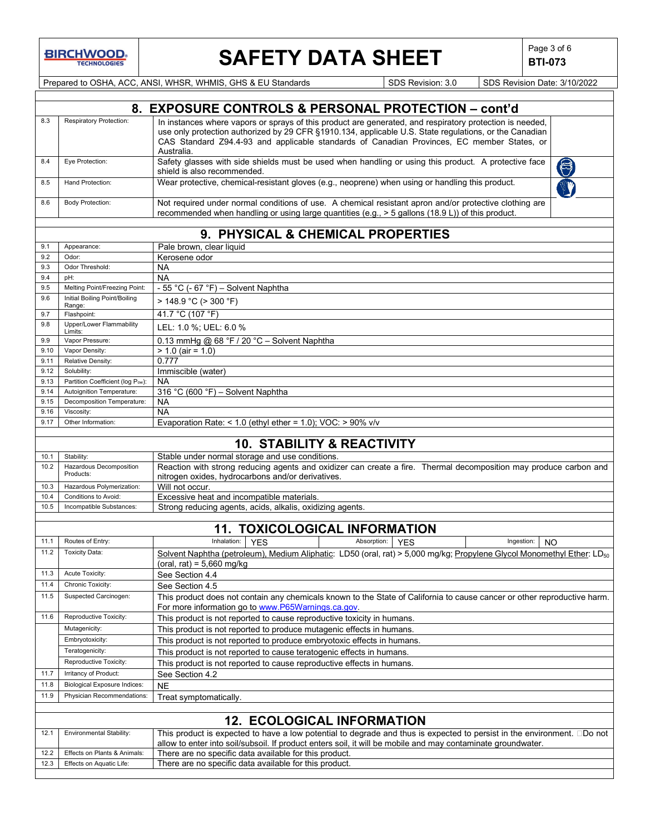

# **SAFETY DATA SHEET**  $\begin{array}{c} \n\big| \text{Page 3 of 6} \\
\text{BTL-073}\n\end{array}$

**BTI-073**

12.3 Effects on Aquatic Life: | There are no specific data available for this product.

Prepared to OSHA, ACC, ANSI, WHSR, WHMIS, GHS & EU Standards SDS Revision: 3.0 SDS Revision Date: 3/10/2022 **8. EXPOSURE CONTROLS & PERSONAL PROTECTION – cont'd** 8.3 Respiratory Protection: | In instances where vapors or sprays of this product are generated, and respiratory protection is needed, use only protection authorized by 29 CFR §1910.134, applicable U.S. State regulations, or the Canadian CAS Standard Z94.4-93 and applicable standards of Canadian Provinces, EC member States, or Australia. 8.4 Eye Protection: Safety glasses with side shields must be used when handling or using this product. A protective face shield is also recommended. 8.5 | Hand Protection: Wear protective, chemical-resistant gloves (e.g., neoprene) when using or handling this product. 8.6 Body Protection: Not required under normal conditions of use. A chemical resistant apron and/or protective clothing are recommended when handling or using large quantities (e.g., > 5 gallons (18.9 L)) of this product. **9. PHYSICAL & CHEMICAL PROPERTIES** 9.1 Appearance: **Pale brown, clear liquid** 9.2 Odor: Kerosene odor<br>
9.3 Odor Threshold: NA 9.3 Odor Threshold: NA<br>9.4 pH: NA 9.4 pH: NA 9.5 Melting Point/Freezing Point:  $-55\degree C (-67\degree F) -$  Solvent Naphtha<br>9.6 Initial Bolling Point/Bolling  $\geq 4.49.0\degree C (\geq 200\degree F)$ Initial Boiling Point/Boiling<br>Range:  $> 148.9 °C (> 300 °F)$ 9.7 **Flashpoint:** 41.7 °C (107 °F) 9.8 Upper/Lower Flammability Upper/Lower Flammability LEL: 1.0 %; UEL: 6.0 %<br>
Limits: 0.0 % Vapor Pressure: 0.13 mmHg @ 68 °F / 2 9.9 Vapor Pressure: 0.13 mmHg @ 68 °F / 20 °C – Solvent Naphtha 9.10 | Vapor Density: | > 1.0 (air = 1.0)

| 9.10 | Vapor Density:                        | $> 1.0$ (air = 1.0)                                                                                                                                                    |  |  |  |  |
|------|---------------------------------------|------------------------------------------------------------------------------------------------------------------------------------------------------------------------|--|--|--|--|
| 9.11 | Relative Density:                     | 0.777                                                                                                                                                                  |  |  |  |  |
| 9.12 | Solubility:                           | Immiscible (water)                                                                                                                                                     |  |  |  |  |
| 9.13 | Partition Coefficient (log Pow):      | NA                                                                                                                                                                     |  |  |  |  |
| 9.14 | Autoignition Temperature:             | 316 °C (600 °F) - Solvent Naphtha                                                                                                                                      |  |  |  |  |
| 9.15 | Decomposition Temperature:            | NA                                                                                                                                                                     |  |  |  |  |
| 9.16 | Viscosity:                            | <b>NA</b>                                                                                                                                                              |  |  |  |  |
| 9.17 | Other Information:                    | Evaporation Rate: $< 1.0$ (ethyl ether = 1.0); VOC: $> 90\%$ v/v                                                                                                       |  |  |  |  |
|      |                                       |                                                                                                                                                                        |  |  |  |  |
|      | <b>10. STABILITY &amp; REACTIVITY</b> |                                                                                                                                                                        |  |  |  |  |
| 10.1 | Stability:                            | Stable under normal storage and use conditions.                                                                                                                        |  |  |  |  |
| 10.2 | Hazardous Decomposition<br>Products:  | Reaction with strong reducing agents and oxidizer can create a fire. Thermal decomposition may produce carbon and<br>nitrogen oxides, hydrocarbons and/or derivatives. |  |  |  |  |
| 10.3 | Hazardous Polymerization:             | Will not occur.                                                                                                                                                        |  |  |  |  |
| 10.4 | Conditions to Avoid:                  | Excessive heat and incompatible materials.                                                                                                                             |  |  |  |  |
| 10.5 | Incompatible Substances:              | Strong reducing agents, acids, alkalis, oxidizing agents.                                                                                                              |  |  |  |  |
|      |                                       |                                                                                                                                                                        |  |  |  |  |
|      |                                       | <b>TAVICAL ACICAL</b><br><b>INICODMATION</b><br>4 A                                                                                                                    |  |  |  |  |

|      |                                     | <b>11. TOXICOLOGICAL INFORMATION</b>                                                                                                                                           |                                                                      |            |                         |  |  |  |
|------|-------------------------------------|--------------------------------------------------------------------------------------------------------------------------------------------------------------------------------|----------------------------------------------------------------------|------------|-------------------------|--|--|--|
| 11.1 | Routes of Entry:                    | Inhalation:<br><b>YES</b>                                                                                                                                                      | Absorption:                                                          | <b>YES</b> | Ingestion:<br><b>NO</b> |  |  |  |
| 11.2 | <b>Toxicity Data:</b>               | Solvent Naphtha (petroleum), Medium Aliphatic: LD50 (oral, rat) > 5,000 mg/kg; Propylene Glycol Monomethyl Ether: LD <sub>50</sub><br>(oral, rat) = $5,660$ mg/kg              |                                                                      |            |                         |  |  |  |
| 11.3 | Acute Toxicity:                     | See Section 4.4                                                                                                                                                                |                                                                      |            |                         |  |  |  |
| 11.4 | Chronic Toxicity:                   | See Section 4.5                                                                                                                                                                |                                                                      |            |                         |  |  |  |
| 11.5 | Suspected Carcinogen:               | This product does not contain any chemicals known to the State of California to cause cancer or other reproductive harm.<br>For more information go to www.P65Warnings.ca.gov. |                                                                      |            |                         |  |  |  |
| 11.6 | Reproductive Toxicity:              | This product is not reported to cause reproductive toxicity in humans.                                                                                                         |                                                                      |            |                         |  |  |  |
|      | Mutagenicity:                       | This product is not reported to produce mutagenic effects in humans.                                                                                                           |                                                                      |            |                         |  |  |  |
|      | Embryotoxicity:                     | This product is not reported to produce embryotoxic effects in humans.                                                                                                         |                                                                      |            |                         |  |  |  |
|      | Teratogenicity:                     |                                                                                                                                                                                | This product is not reported to cause teratogenic effects in humans. |            |                         |  |  |  |
|      | Reproductive Toxicity:              | This product is not reported to cause reproductive effects in humans.                                                                                                          |                                                                      |            |                         |  |  |  |
| 11.7 | Irritancy of Product:               | See Section 4.2                                                                                                                                                                |                                                                      |            |                         |  |  |  |
| 11.8 | <b>Biological Exposure Indices:</b> | <b>NE</b>                                                                                                                                                                      |                                                                      |            |                         |  |  |  |
| 11.9 | Physician Recommendations:          | Treat symptomatically.                                                                                                                                                         |                                                                      |            |                         |  |  |  |
|      |                                     |                                                                                                                                                                                |                                                                      |            |                         |  |  |  |
|      |                                     | <b>12. ECOLOGICAL INFORMATION</b>                                                                                                                                              |                                                                      |            |                         |  |  |  |
| 12.1 | Environmental Stability:            | This product is expected to have a low potential to degrade and thus is expected to persist in the environment. $\square$ Do not                                               |                                                                      |            |                         |  |  |  |
|      |                                     | allow to enter into soil/subsoil. If product enters soil, it will be mobile and may contaminate groundwater.                                                                   |                                                                      |            |                         |  |  |  |
| 12.2 | Effects on Plants & Animals:        | There are no specific data available for this product.                                                                                                                         |                                                                      |            |                         |  |  |  |
| 12.3 | Effects on Aquatic Life:            | There are no specific data available for this product                                                                                                                          |                                                                      |            |                         |  |  |  |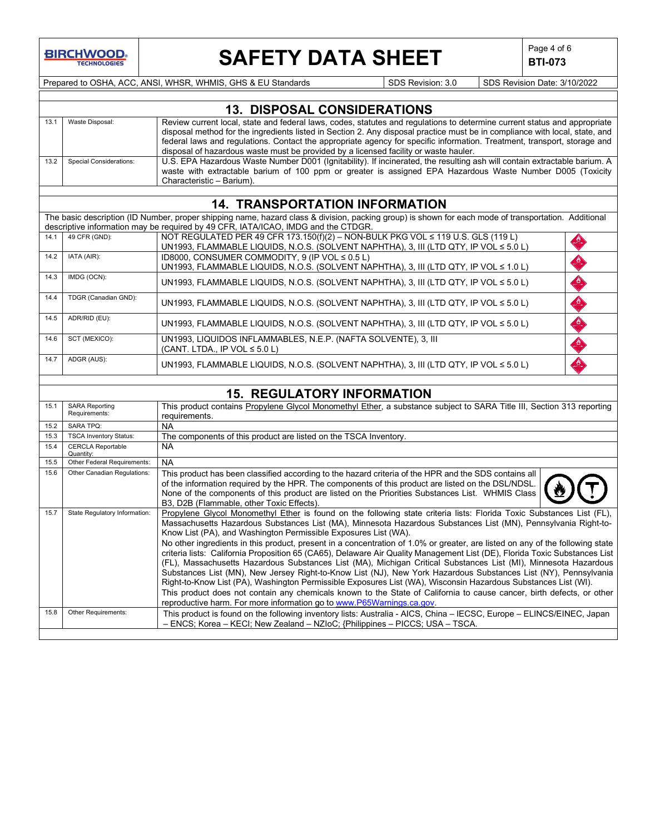

# **SAFETY DATA SHEET**  $\left|\begin{array}{cc} \text{Page 4 of 6} \\ \text{BTI-073} \end{array}\right|$

**BTI-073**

Prepared to OSHA, ACC, ANSI, WHSR, WHMIS, GHS & EU Standards SDS Revision: 3.0 SDS Revision Date: 3/10/2022

|      | <b>13. DISPOSAL CONSIDERATIONS</b> |                                                                                                                                                                                                                                                                                                                                                                                                                                                                              |  |  |  |  |
|------|------------------------------------|------------------------------------------------------------------------------------------------------------------------------------------------------------------------------------------------------------------------------------------------------------------------------------------------------------------------------------------------------------------------------------------------------------------------------------------------------------------------------|--|--|--|--|
|      | Waste Disposal:                    | Review current local, state and federal laws, codes, statutes and regulations to determine current status and appropriate<br>disposal method for the ingredients listed in Section 2. Any disposal practice must be in compliance with local, state, and<br>federal laws and regulations. Contact the appropriate agency for specific information. Treatment, transport, storage and<br>disposal of hazardous waste must be provided by a licensed facility or waste hauler. |  |  |  |  |
| 13.2 | <b>Special Considerations:</b>     | U.S. EPA Hazardous Waste Number D001 (Ignitability). If incinerated, the resulting ash will contain extractable barium. A<br>waste with extractable barium of 100 ppm or greater is assigned EPA Hazardous Waste Number D005 (Toxicity<br>Characteristic - Barium).                                                                                                                                                                                                          |  |  |  |  |

## **14. TRANSPORTATION INFORMATION**

The basic description (ID Number, proper shipping name, hazard class & division, packing group) is shown for each mode of transportation. Additional descriptive information may be required by 49 CFR, IATA/ICAO, IMDG and the CTDGR.

| 14.1 | 49 CFR (GND):        | NOT REGULATED PER 49 CFR 173.150(f)(2) - NON-BULK PKG VOL $\leq$ 119 U.S. GLS (119 L) | $\frac{1}{\sqrt{2}}$ |
|------|----------------------|---------------------------------------------------------------------------------------|----------------------|
|      |                      | UN1993, FLAMMABLE LIQUIDS, N.O.S. (SOLVENT NAPHTHA), 3, III (LTD QTY, IP VOL ≤ 5.0 L) |                      |
| 14.2 | IATA (AIR):          | ID8000, CONSUMER COMMODITY, 9 (IP VOL $\leq$ 0.5 L)                                   | $\frac{B}{\sqrt{2}}$ |
|      |                      | UN1993, FLAMMABLE LIQUIDS, N.O.S. (SOLVENT NAPHTHA), 3, III (LTD QTY, IP VOL ≤ 1.0 L) |                      |
| 14.3 | IMDG (OCN):          | UN1993, FLAMMABLE LIQUIDS, N.O.S. (SOLVENT NAPHTHA), 3, III (LTD QTY, IP VOL ≤ 5.0 L) | $\frac{B}{B}$        |
|      |                      |                                                                                       |                      |
| 14.4 | TDGR (Canadian GND): | UN1993, FLAMMABLE LIQUIDS, N.O.S. (SOLVENT NAPHTHA), 3, III (LTD QTY, IP VOL ≤ 5.0 L) | $\frac{d}{dx}$       |
|      |                      |                                                                                       |                      |
| 14.5 | ADR/RID (EU):        | UN1993, FLAMMABLE LIQUIDS, N.O.S. (SOLVENT NAPHTHA), 3, III (LTD QTY, IP VOL ≤ 5.0 L) | $\rightarrow$        |
|      |                      |                                                                                       |                      |
| 14.6 | SCT (MEXICO):        | UN1993, LIQUIDOS INFLAMMABLES, N.E.P. (NAFTA SOLVENTE), 3, III                        | $\frac{B}{2}$        |
|      |                      | (CANT. LTDA., IP VOL $\leq$ 5.0 L)                                                    |                      |
| 14.7 | ADGR (AUS):          | UN1993, FLAMMABLE LIQUIDS, N.O.S. (SOLVENT NAPHTHA), 3, III (LTD QTY, IP VOL ≤ 5.0 L) | S                    |
|      |                      |                                                                                       |                      |

## **15. REGULATORY INFORMATION**

| 15.1 | <b>SARA Reporting</b><br>Requirements: | This product contains Propylene Glycol Monomethyl Ether, a substance subject to SARA Title III, Section 313 reporting<br>requirements.                                                                                                                                                                                                                                                                                                                                                                                                                                                                                                                                                                                                                                                                                                                                                                                                                                                                                                                                                                                              |
|------|----------------------------------------|-------------------------------------------------------------------------------------------------------------------------------------------------------------------------------------------------------------------------------------------------------------------------------------------------------------------------------------------------------------------------------------------------------------------------------------------------------------------------------------------------------------------------------------------------------------------------------------------------------------------------------------------------------------------------------------------------------------------------------------------------------------------------------------------------------------------------------------------------------------------------------------------------------------------------------------------------------------------------------------------------------------------------------------------------------------------------------------------------------------------------------------|
| 15.2 | <b>SARA TPQ:</b>                       | NA                                                                                                                                                                                                                                                                                                                                                                                                                                                                                                                                                                                                                                                                                                                                                                                                                                                                                                                                                                                                                                                                                                                                  |
| 15.3 | <b>TSCA Inventory Status:</b>          | The components of this product are listed on the TSCA Inventory.                                                                                                                                                                                                                                                                                                                                                                                                                                                                                                                                                                                                                                                                                                                                                                                                                                                                                                                                                                                                                                                                    |
| 15.4 | <b>CERCLA Reportable</b><br>Quantity:  | NA.                                                                                                                                                                                                                                                                                                                                                                                                                                                                                                                                                                                                                                                                                                                                                                                                                                                                                                                                                                                                                                                                                                                                 |
| 15.5 | Other Federal Requirements:            | NA                                                                                                                                                                                                                                                                                                                                                                                                                                                                                                                                                                                                                                                                                                                                                                                                                                                                                                                                                                                                                                                                                                                                  |
| 15.6 | Other Canadian Regulations:            | This product has been classified according to the hazard criteria of the HPR and the SDS contains all<br>of the information required by the HPR. The components of this product are listed on the DSL/NDSL.<br>None of the components of this product are listed on the Priorities Substances List. WHMIS Class<br>B3, D2B (Flammable, other Toxic Effects).                                                                                                                                                                                                                                                                                                                                                                                                                                                                                                                                                                                                                                                                                                                                                                        |
| 15.7 | State Regulatory Information:          | Propylene Glycol Monomethyl Ether is found on the following state criteria lists: Florida Toxic Substances List (FL),<br>Massachusetts Hazardous Substances List (MA), Minnesota Hazardous Substances List (MN), Pennsylvania Right-to-<br>Know List (PA), and Washington Permissible Exposures List (WA).<br>No other ingredients in this product, present in a concentration of 1.0% or greater, are listed on any of the following state<br>criteria lists: California Proposition 65 (CA65), Delaware Air Quality Management List (DE), Florida Toxic Substances List<br>(FL), Massachusetts Hazardous Substances List (MA), Michigan Critical Substances List (MI), Minnesota Hazardous<br>Substances List (MN), New Jersey Right-to-Know List (NJ), New York Hazardous Substances List (NY), Pennsylvania<br>Right-to-Know List (PA), Washington Permissible Exposures List (WA), Wisconsin Hazardous Substances List (WI).<br>This product does not contain any chemicals known to the State of California to cause cancer, birth defects, or other<br>reproductive harm. For more information go to www.P65Warnings.ca.gov. |
| 15.8 | Other Requirements:                    | This product is found on the following inventory lists: Australia - AICS, China – IECSC, Europe – ELINCS/EINEC, Japan<br>- ENCS: Korea - KECI: New Zealand - NZIoC: {Philippines - PICCS: USA - TSCA.                                                                                                                                                                                                                                                                                                                                                                                                                                                                                                                                                                                                                                                                                                                                                                                                                                                                                                                               |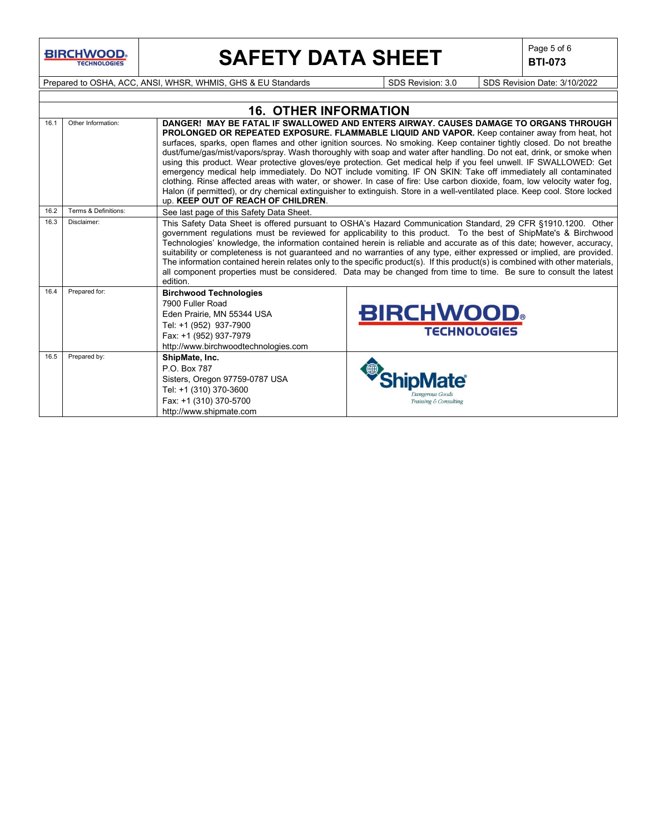**BIRCHWOOD** 

# **SAFETY DATA SHEET**  $\left|\begin{array}{cc} \text{Page 5 of 6} \\ \text{BIT-073} \end{array}\right|$

**BTI-073**

Prepared to OSHA, ACC, ANSI, WHSR, WHMIS, GHS & EU Standards SDS Revision: 3.0 SDS Revision Date: 3/10/2022

|      |                      | <b>16. OTHER INFORMATION</b>                                                                                                                                                                                                                                                                                                                                                                                                                                                                                                                                                                                                                                                                                                                                                                                                                                                                                                                                                   |                                         |  |  |  |  |
|------|----------------------|--------------------------------------------------------------------------------------------------------------------------------------------------------------------------------------------------------------------------------------------------------------------------------------------------------------------------------------------------------------------------------------------------------------------------------------------------------------------------------------------------------------------------------------------------------------------------------------------------------------------------------------------------------------------------------------------------------------------------------------------------------------------------------------------------------------------------------------------------------------------------------------------------------------------------------------------------------------------------------|-----------------------------------------|--|--|--|--|
| 16.1 | Other Information:   | DANGER! MAY BE FATAL IF SWALLOWED AND ENTERS AIRWAY. CAUSES DAMAGE TO ORGANS THROUGH<br>PROLONGED OR REPEATED EXPOSURE. FLAMMABLE LIQUID AND VAPOR. Keep container away from heat, hot<br>surfaces, sparks, open flames and other ignition sources. No smoking. Keep container tightly closed. Do not breathe<br>dust/fume/gas/mist/vapors/spray. Wash thoroughly with soap and water after handling. Do not eat, drink, or smoke when<br>using this product. Wear protective gloves/eye protection. Get medical help if you feel unwell. IF SWALLOWED: Get<br>emergency medical help immediately. Do NOT include vomiting. IF ON SKIN: Take off immediately all contaminated<br>clothing. Rinse affected areas with water, or shower. In case of fire: Use carbon dioxide, foam, low velocity water fog,<br>Halon (if permitted), or dry chemical extinguisher to extinguish. Store in a well-ventilated place. Keep cool. Store locked<br>up. KEEP OUT OF REACH OF CHILDREN. |                                         |  |  |  |  |
| 16.2 | Terms & Definitions: | See last page of this Safety Data Sheet.                                                                                                                                                                                                                                                                                                                                                                                                                                                                                                                                                                                                                                                                                                                                                                                                                                                                                                                                       |                                         |  |  |  |  |
| 16.3 | Disclaimer:          | This Safety Data Sheet is offered pursuant to OSHA's Hazard Communication Standard, 29 CFR §1910.1200. Other<br>government regulations must be reviewed for applicability to this product. To the best of ShipMate's & Birchwood<br>Technologies' knowledge, the information contained herein is reliable and accurate as of this date; however, accuracy,<br>suitability or completeness is not guaranteed and no warranties of any type, either expressed or implied, are provided.<br>The information contained herein relates only to the specific product(s). If this product(s) is combined with other materials,<br>all component properties must be considered. Data may be changed from time to time. Be sure to consult the latest<br>edition.                                                                                                                                                                                                                       |                                         |  |  |  |  |
| 16.4 | Prepared for:        | <b>Birchwood Technologies</b><br>7900 Fuller Road<br>Eden Prairie, MN 55344 USA<br>Tel: +1 (952) 937-7900<br>Fax: +1 (952) 937-7979<br>http://www.birchwoodtechnologies.com                                                                                                                                                                                                                                                                                                                                                                                                                                                                                                                                                                                                                                                                                                                                                                                                    | <b>BIRCHWOOD</b><br><b>TECHNOLOGIES</b> |  |  |  |  |
| 16.5 | Prepared by:         | ShipMate, Inc.<br>P.O. Box 787<br>Sisters, Oregon 97759-0787 USA<br>Tel: +1 (310) 370-3600<br>Fax: +1 (310) 370-5700<br>http://www.shipmate.com                                                                                                                                                                                                                                                                                                                                                                                                                                                                                                                                                                                                                                                                                                                                                                                                                                | Training & Consulting                   |  |  |  |  |